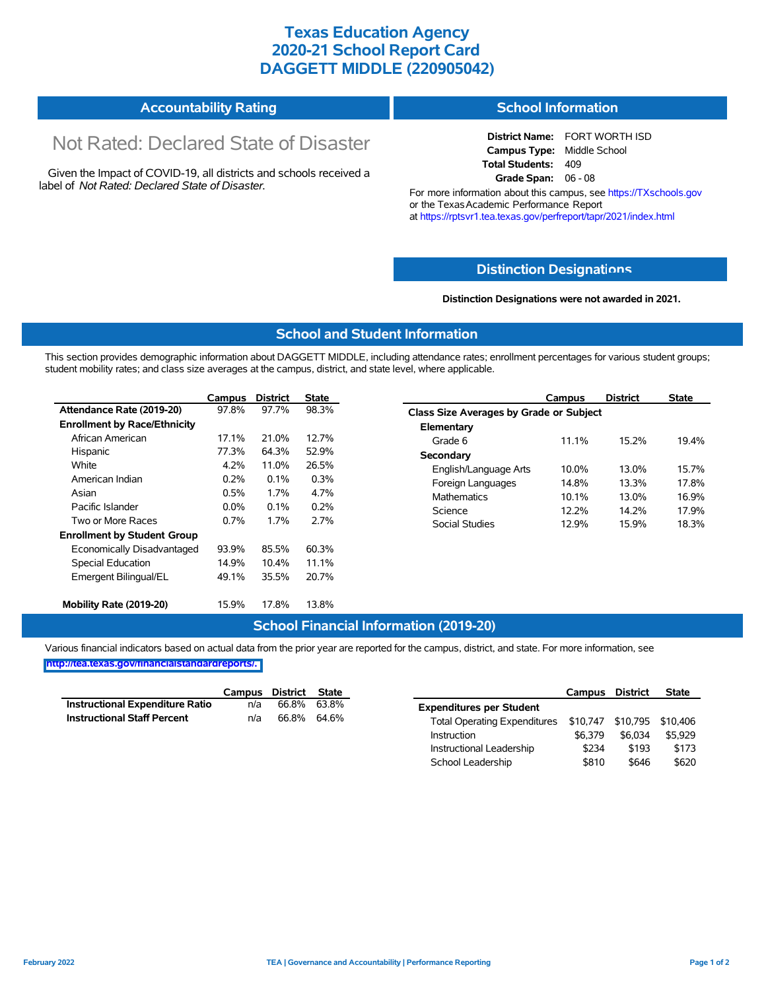## **Texas Education Agency 2020-21 School Report Card DAGGETT MIDDLE (220905042)**

| <b>Accountability Rating</b> | <b>School Information</b> |
|------------------------------|---------------------------|
|------------------------------|---------------------------|

# Not Rated: Declared State of Disaster

Given the Impact of COVID-19, all districts and schools received a label of *Not Rated: Declared State of Disaster.*

**District Name:** FORT WORTH ISD **Campus Type:** Middle School **Total Students:** 409 **Grade Span:** 06 - 08

For more information about this campus, see https://TXschools.gov or the Texas Academic Performance Report at https://rptsvr1.tea.texas.gov/perfreport/tapr/2021/index.html

#### **Distinction Designat[ions](https://TXschools.gov)**

**Distinction Designations were not awarded in 2021.**

School Leadership  $$810$  \$646 \$620

#### **School and Student Information**

This section provides demographic information about DAGGETT MIDDLE, including attendance rates; enrollment percentages for various student groups; student mobility rates; and class size averages at the campus, district, and state level, where applicable.

|                                     | Campus               | <b>District</b> | <b>State</b>                | Campus                         | <b>District</b>                         | <b>State</b> |  |  |  |  |
|-------------------------------------|----------------------|-----------------|-----------------------------|--------------------------------|-----------------------------------------|--------------|--|--|--|--|
| Attendance Rate (2019-20)           | 97.8%                | 97.7%           | 98.3%                       |                                | Class Size Averages by Grade or Subject |              |  |  |  |  |
| <b>Enrollment by Race/Ethnicity</b> |                      |                 |                             | Elementary                     |                                         |              |  |  |  |  |
| African American                    | 17.1%                | 21.0%           | 12.7%                       | Grade 6<br>11.1%               | 15.2%                                   | 19.4%        |  |  |  |  |
| Hispanic                            | 77.3%                | 64.3%           | 52.9%                       | Secondary                      |                                         |              |  |  |  |  |
| White                               | 4.2%                 | 11.0%           | 26.5%                       | 10.0%<br>English/Language Arts | 13.0%                                   | 15.7%        |  |  |  |  |
| American Indian                     | 0.2%                 | 0.1%            | 0.3%                        | 14.8%<br>Foreign Languages     | 13.3%                                   | 17.8%        |  |  |  |  |
| Asian                               | 0.5%<br>4.7%<br>1.7% |                 | <b>Mathematics</b><br>10.1% | 13.0%                          | 16.9%                                   |              |  |  |  |  |
| Pacific Islander                    | $0.0\%$              | 0.1%            | 0.2%                        | 12.2%<br>Science               | 14.2%                                   | 17.9%        |  |  |  |  |
| Two or More Races                   | 0.7%                 | 1.7%            | 2.7%                        | Social Studies<br>12.9%        | 15.9%                                   | 18.3%        |  |  |  |  |
| <b>Enrollment by Student Group</b>  |                      |                 |                             |                                |                                         |              |  |  |  |  |
| Economically Disadvantaged          | 93.9%                | 85.5%           | 60.3%                       |                                |                                         |              |  |  |  |  |
| Special Education                   | 14.9%                | 10.4%           | 11.1%                       |                                |                                         |              |  |  |  |  |
| Emergent Bilingual/EL               | 49.1%                | 35.5%           | 20.7%                       |                                |                                         |              |  |  |  |  |
|                                     |                      |                 |                             |                                |                                         |              |  |  |  |  |
| Mobility Rate (2019-20)             | 15.9%                | 17.8%           | 13.8%                       |                                |                                         |              |  |  |  |  |

#### **School Financial Information (2019-20)**

Various financial indicators based on actual data from the prior year are reported for the campus, district, and state. For more information, see

**[http://tea.texas.gov/financialstandardreports/.](http://tea.texas.gov/financialstandardreports/)**

|                                        | Campus | District | State       |                                     | Campus                     | <b>District</b> | <b>State</b> |
|----------------------------------------|--------|----------|-------------|-------------------------------------|----------------------------|-----------------|--------------|
| <b>Instructional Expenditure Ratio</b> | n/a    | 66.8%    | 63.8%       | <b>Expenditures per Student</b>     |                            |                 |              |
| <b>Instructional Staff Percent</b>     | n/a    |          | 66.8% 64.6% | <b>Total Operating Expenditures</b> | \$10,747 \$10,795 \$10,406 |                 |              |
|                                        |        |          |             | Instruction                         | \$6.379                    | \$6.034         | \$5.929      |
|                                        |        |          |             | Instructional Leadership            | \$234                      | \$193           | \$173        |